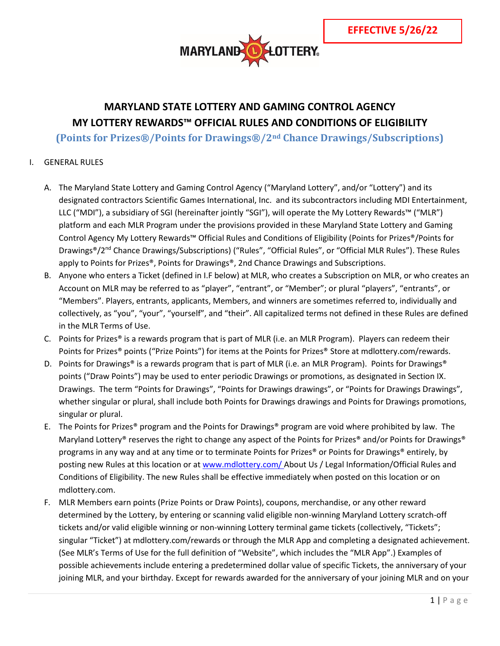

# **MARYLAND STATE LOTTERY AND GAMING CONTROL AGENCY MY LOTTERY REWARDS™ OFFICIAL RULES AND CONDITIONS OF ELIGIBILITY**

**(Points for Prizes®/Points for Drawings®/2nd Chance Drawings/Subscriptions)**

## I. GENERAL RULES

- A. The Maryland State Lottery and Gaming Control Agency ("Maryland Lottery", and/or "Lottery") and its designated contractors Scientific Games International, Inc. and its subcontractors including MDI Entertainment, LLC ("MDI"), a subsidiary of SGI (hereinafter jointly "SGI"), will operate the My Lottery Rewards™ ("MLR") platform and each MLR Program under the provisions provided in these Maryland State Lottery and Gaming Control Agency My Lottery Rewards™ Official Rules and Conditions of Eligibility (Points for Prizes®/Points for Drawings®/2<sup>nd</sup> Chance Drawings/Subscriptions) ("Rules", "Official Rules", or "Official MLR Rules"). These Rules apply to Points for Prizes®, Points for Drawings®, 2nd Chance Drawings and Subscriptions.
- B. Anyone who enters a Ticket (defined in I.F below) at MLR, who creates a Subscription on MLR, or who creates an Account on MLR may be referred to as "player", "entrant", or "Member"; or plural "players", "entrants", or "Members". Players, entrants, applicants, Members, and winners are sometimes referred to, individually and collectively, as "you", "your", "yourself", and "their". All capitalized terms not defined in these Rules are defined in the MLR Terms of Use.
- C. Points for Prizes<sup>®</sup> is a rewards program that is part of MLR (i.e. an MLR Program). Players can redeem their Points for Prizes® points ("Prize Points") for items at the Points for Prizes® Store at mdlottery.com/rewards.
- D. Points for Drawings® is a rewards program that is part of MLR (i.e. an MLR Program). Points for Drawings® points ("Draw Points") may be used to enter periodic Drawings or promotions, as designated in Section IX. Drawings. The term "Points for Drawings", "Points for Drawings drawings", or "Points for Drawings Drawings", whether singular or plural, shall include both Points for Drawings drawings and Points for Drawings promotions, singular or plural.
- E. The Points for Prizes® program and the Points for Drawings® program are void where prohibited by law. The Maryland Lottery® reserves the right to change any aspect of the Points for Prizes® and/or Points for Drawings® programs in any way and at any time or to terminate Points for Prizes® or Points for Drawings® entirely, by posting new Rules at this location or at [www.mdlottery.com/](https://www.mdlottery.com/) About Us / Legal Information/Official Rules and Conditions of Eligibility. The new Rules shall be effective immediately when posted on this location or on mdlottery.com.
- F. MLR Members earn points (Prize Points or Draw Points), coupons, merchandise, or any other reward determined by the Lottery, by entering or scanning valid eligible non-winning Maryland Lottery scratch-off tickets and/or valid eligible winning or non-winning Lottery terminal game tickets (collectively, "Tickets"; singular "Ticket") at mdlottery.com/rewards or through the MLR App and completing a designated achievement. (See MLR's Terms of Use for the full definition of "Website", which includes the "MLR App".) Examples of possible achievements include entering a predetermined dollar value of specific Tickets, the anniversary of your joining MLR, and your birthday. Except for rewards awarded for the anniversary of your joining MLR and on your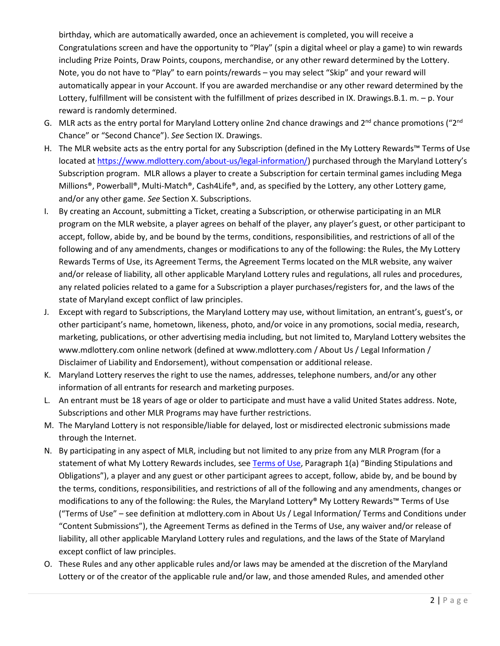birthday, which are automatically awarded, once an achievement is completed, you will receive a Congratulations screen and have the opportunity to "Play" (spin a digital wheel or play a game) to win rewards including Prize Points, Draw Points, coupons, merchandise, or any other reward determined by the Lottery. Note, you do not have to "Play" to earn points/rewards – you may select "Skip" and your reward will automatically appear in your Account. If you are awarded merchandise or any other reward determined by the Lottery, fulfillment will be consistent with the fulfillment of prizes described in IX. Drawings.B.1. m. – p. Your reward is randomly determined.

- G. MLR acts as the entry portal for Maryland Lottery online 2nd chance drawings and  $2^{nd}$  chance promotions (" $2^{nd}$ Chance" or "Second Chance"). *See* Section IX. Drawings.
- H. The MLR website acts as the entry portal for any Subscription (defined in the My Lottery Rewards™ Terms of Use located at [https://www.mdlottery.com/about-us/legal-information/\)](https://www.mdlottery.com/about-us/legal-information/) purchased through the Maryland Lottery's Subscription program. MLR allows a player to create a Subscription for certain terminal games including Mega Millions®, Powerball®, Multi-Match®, Cash4Life®, and, as specified by the Lottery, any other Lottery game, and/or any other game. *See* Section X. Subscriptions.
- I. By creating an Account, submitting a Ticket, creating a Subscription, or otherwise participating in an MLR program on the MLR website, a player agrees on behalf of the player, any player's guest, or other participant to accept, follow, abide by, and be bound by the terms, conditions, responsibilities, and restrictions of all of the following and of any amendments, changes or modifications to any of the following: the Rules, the My Lottery Rewards Terms of Use, its Agreement Terms, the Agreement Terms located on the MLR website, any waiver and/or release of liability, all other applicable Maryland Lottery rules and regulations, all rules and procedures, any related policies related to a game for a Subscription a player purchases/registers for, and the laws of the state of Maryland except conflict of law principles.
- J. Except with regard to Subscriptions, the Maryland Lottery may use, without limitation, an entrant's, guest's, or other participant's name, hometown, likeness, photo, and/or voice in any promotions, social media, research, marketing, publications, or other advertising media including, but not limited to, Maryland Lottery websites the www.mdlottery.com online network (defined at www.mdlottery.com / About Us / Legal Information / Disclaimer of Liability and Endorsement), without compensation or additional release.
- K. Maryland Lottery reserves the right to use the names, addresses, telephone numbers, and/or any other information of all entrants for research and marketing purposes.
- L. An entrant must be 18 years of age or older to participate and must have a valid United States address. Note, Subscriptions and other MLR Programs may have further restrictions.
- M. The Maryland Lottery is not responsible/liable for delayed, lost or misdirected electronic submissions made through the Internet.
- N. By participating in any aspect of MLR, including but not limited to any prize from any MLR Program (for a statement of what My Lottery Rewards includes, se[e Terms of Use,](https://www.mdlottery.com/wp-content/uploads/2020/03/MLR-Terms-of-Use.pdf) Paragraph 1(a) "Binding Stipulations and Obligations"), a player and any guest or other participant agrees to accept, follow, abide by, and be bound by the terms, conditions, responsibilities, and restrictions of all of the following and any amendments, changes or modifications to any of the following: the Rules, the Maryland Lottery® My Lottery Rewards™ Terms of Use ("Terms of Use" – see definition at mdlottery.com in About Us / Legal Information/ Terms and Conditions under "Content Submissions"), the Agreement Terms as defined in the Terms of Use, any waiver and/or release of liability, all other applicable Maryland Lottery rules and regulations, and the laws of the State of Maryland except conflict of law principles.
- O. These Rules and any other applicable rules and/or laws may be amended at the discretion of the Maryland Lottery or of the creator of the applicable rule and/or law, and those amended Rules, and amended other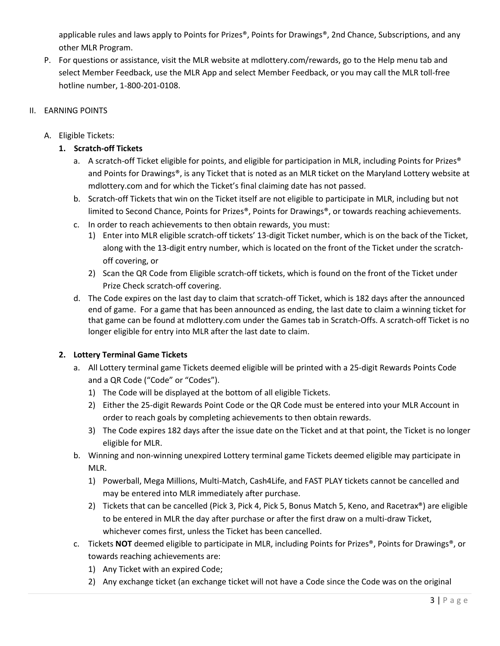applicable rules and laws apply to Points for Prizes®, Points for Drawings®, 2nd Chance, Subscriptions, and any other MLR Program.

P. For questions or assistance, visit the MLR website at mdlottery.com/rewards, go to the Help menu tab and select Member Feedback, use the MLR App and select Member Feedback, or you may call the MLR toll-free hotline number, 1-800-201-0108.

# II. EARNING POINTS

# A. Eligible Tickets:

# **1. Scratch-off Tickets**

- a. A scratch-off Ticket eligible for points, and eligible for participation in MLR, including Points for Prizes® and Points for Drawings®, is any Ticket that is noted as an MLR ticket on the Maryland Lottery website at mdlottery.com and for which the Ticket's final claiming date has not passed.
- b. Scratch-off Tickets that win on the Ticket itself are not eligible to participate in MLR, including but not limited to Second Chance, Points for Prizes®, Points for Drawings®, or towards reaching achievements.
- c. In order to reach achievements to then obtain rewards, you must:
	- 1) Enter into MLR eligible scratch-off tickets' 13-digit Ticket number, which is on the back of the Ticket, along with the 13-digit entry number, which is located on the front of the Ticket under the scratchoff covering, or
	- 2) Scan the QR Code from Eligible scratch-off tickets, which is found on the front of the Ticket under Prize Check scratch-off covering.
- d. The Code expires on the last day to claim that scratch-off Ticket, which is 182 days after the announced end of game. For a game that has been announced as ending, the last date to claim a winning ticket for that game can be found at mdlottery.com under the Games tab in Scratch-Offs. A scratch-off Ticket is no longer eligible for entry into MLR after the last date to claim.

## **2. Lottery Terminal Game Tickets**

- a. All Lottery terminal game Tickets deemed eligible will be printed with a 25-digit Rewards Points Code and a QR Code ("Code" or "Codes").
	- 1) The Code will be displayed at the bottom of all eligible Tickets.
	- 2) Either the 25-digit Rewards Point Code or the QR Code must be entered into your MLR Account in order to reach goals by completing achievements to then obtain rewards.
	- 3) The Code expires 182 days after the issue date on the Ticket and at that point, the Ticket is no longer eligible for MLR.
- b. Winning and non-winning unexpired Lottery terminal game Tickets deemed eligible may participate in MLR.
	- 1) Powerball, Mega Millions, Multi-Match, Cash4Life, and FAST PLAY tickets cannot be cancelled and may be entered into MLR immediately after purchase.
	- 2) Tickets that can be cancelled (Pick 3, Pick 4, Pick 5, Bonus Match 5, Keno, and Racetrax®) are eligible to be entered in MLR the day after purchase or after the first draw on a multi-draw Ticket, whichever comes first, unless the Ticket has been cancelled.
- c. Tickets **NOT** deemed eligible to participate in MLR, including Points for Prizes®, Points for Drawings®, or towards reaching achievements are:
	- 1) Any Ticket with an expired Code;
	- 2) Any exchange ticket (an exchange ticket will not have a Code since the Code was on the original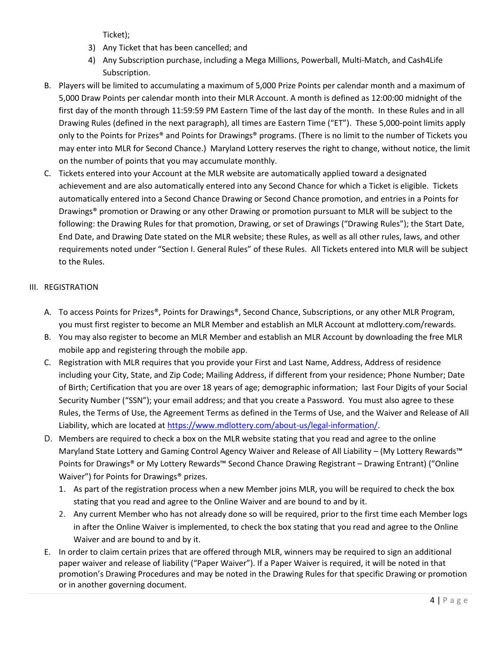Ticket);

- 3) Any Ticket that has been cancelled; and
- 4) Any Subscription purchase, including a Mega Millions, Powerball, Multi-Match, and Cash4Life Subscription.
- B. Players will be limited to accumulating a maximum of 5,000 Prize Points per calendar month and a maximum of 5,000 Draw Points per calendar month into their MLR Account. A month is defined as 12:00:00 midnight of the first day of the month through 11:59:59 PM Eastern Time of the last day of the month. In these Rules and in all Drawing Rules (defined in the next paragraph), all times are Eastern Time ("ET"). These 5,000-point limits apply only to the Points for Prizes® and Points for Drawings® programs. (There is no limit to the number of Tickets you may enter into MLR for Second Chance.) Maryland Lottery reserves the right to change, without notice, the limit on the number of points that you may accumulate monthly.
- C. Tickets entered into your Account at the MLR website are automatically applied toward a designated achievement and are also automatically entered into any Second Chance for which a Ticket is eligible. Tickets automatically entered into a Second Chance Drawing or Second Chance promotion, and entries in a Points for Drawings® promotion or Drawing or any other Drawing or promotion pursuant to MLR will be subject to the following: the Drawing Rules for that promotion, Drawing, or set of Drawings ("Drawing Rules"); the Start Date, End Date, and Drawing Date stated on the MLR website; these Rules, as well as all other rules, laws, and other requirements noted under "Section I. General Rules" of these Rules. All Tickets entered into MLR will be subject to the Rules.

# III. REGISTRATION

- A. To access Points for Prizes®, Points for Drawings®, Second Chance, Subscriptions, or any other MLR Program, you must first register to become an MLR Member and establish an MLR Account at mdlottery.com/rewards.
- B. You may also register to become an MLR Member and establish an MLR Account by downloading the free MLR mobile app and registering through the mobile app.
- C. Registration with MLR requires that you provide your First and Last Name, Address, Address of residence including your City, State, and Zip Code; Mailing Address, if different from your residence; Phone Number; Date of Birth; Certification that you are over 18 years of age; demographic information; last Four Digits of your Social Security Number ("SSN"); your email address; and that you create a Password. You must also agree to these Rules, the Terms of Use, the Agreement Terms as defined in the Terms of Use, and the Waiver and Release of All Liability, which are located at [https://www.mdlottery.com/about-us/legal-information/.](https://www.mdlottery.com/about-us/legal-information/)
- D. Members are required to check a box on the MLR website stating that you read and agree to the online Maryland State Lottery and Gaming Control Agency Waiver and Release of All Liability – (My Lottery Rewards™ Points for Drawings® or My Lottery Rewards™ Second Chance Drawing Registrant – Drawing Entrant) ("Online Waiver") for Points for Drawings® prizes.
	- 1. As part of the registration process when a new Member joins MLR, you will be required to check the box stating that you read and agree to the Online Waiver and are bound to and by it.
	- 2. Any current Member who has not already done so will be required, prior to the first time each Member logs in after the Online Waiver is implemented, to check the box stating that you read and agree to the Online Waiver and are bound to and by it.
- E. In order to claim certain prizes that are offered through MLR, winners may be required to sign an additional paper waiver and release of liability ("Paper Waiver"). If a Paper Waiver is required, it will be noted in that promotion's Drawing Procedures and may be noted in the Drawing Rules for that specific Drawing or promotion or in another governing document.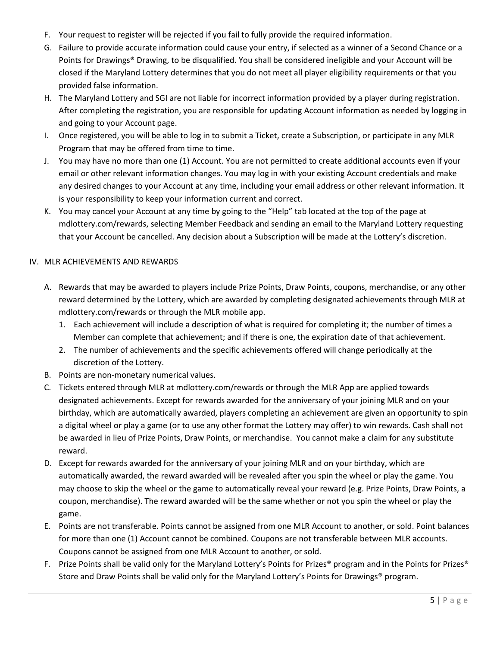- F. Your request to register will be rejected if you fail to fully provide the required information.
- G. Failure to provide accurate information could cause your entry, if selected as a winner of a Second Chance or a Points for Drawings® Drawing, to be disqualified. You shall be considered ineligible and your Account will be closed if the Maryland Lottery determines that you do not meet all player eligibility requirements or that you provided false information.
- H. The Maryland Lottery and SGI are not liable for incorrect information provided by a player during registration. After completing the registration, you are responsible for updating Account information as needed by logging in and going to your Account page.
- I. Once registered, you will be able to log in to submit a Ticket, create a Subscription, or participate in any MLR Program that may be offered from time to time.
- J. You may have no more than one (1) Account. You are not permitted to create additional accounts even if your email or other relevant information changes. You may log in with your existing Account credentials and make any desired changes to your Account at any time, including your email address or other relevant information. It is your responsibility to keep your information current and correct.
- K. You may cancel your Account at any time by going to the "Help" tab located at the top of the page at mdlottery.com/rewards, selecting Member Feedback and sending an email to the Maryland Lottery requesting that your Account be cancelled. Any decision about a Subscription will be made at the Lottery's discretion.

# IV. MLR ACHIEVEMENTS AND REWARDS

- A. Rewards that may be awarded to players include Prize Points, Draw Points, coupons, merchandise, or any other reward determined by the Lottery, which are awarded by completing designated achievements through MLR at mdlottery.com/rewards or through the MLR mobile app.
	- 1. Each achievement will include a description of what is required for completing it; the number of times a Member can complete that achievement; and if there is one, the expiration date of that achievement.
	- 2. The number of achievements and the specific achievements offered will change periodically at the discretion of the Lottery.
- B. Points are non-monetary numerical values.
- C. Tickets entered through MLR at mdlottery.com/rewards or through the MLR App are applied towards designated achievements. Except for rewards awarded for the anniversary of your joining MLR and on your birthday, which are automatically awarded, players completing an achievement are given an opportunity to spin a digital wheel or play a game (or to use any other format the Lottery may offer) to win rewards. Cash shall not be awarded in lieu of Prize Points, Draw Points, or merchandise. You cannot make a claim for any substitute reward.
- D. Except for rewards awarded for the anniversary of your joining MLR and on your birthday, which are automatically awarded, the reward awarded will be revealed after you spin the wheel or play the game. You may choose to skip the wheel or the game to automatically reveal your reward (e.g. Prize Points, Draw Points, a coupon, merchandise). The reward awarded will be the same whether or not you spin the wheel or play the game.
- E. Points are not transferable. Points cannot be assigned from one MLR Account to another, or sold. Point balances for more than one (1) Account cannot be combined. Coupons are not transferable between MLR accounts. Coupons cannot be assigned from one MLR Account to another, or sold.
- F. Prize Points shall be valid only for the Maryland Lottery's Points for Prizes® program and in the Points for Prizes® Store and Draw Points shall be valid only for the Maryland Lottery's Points for Drawings® program.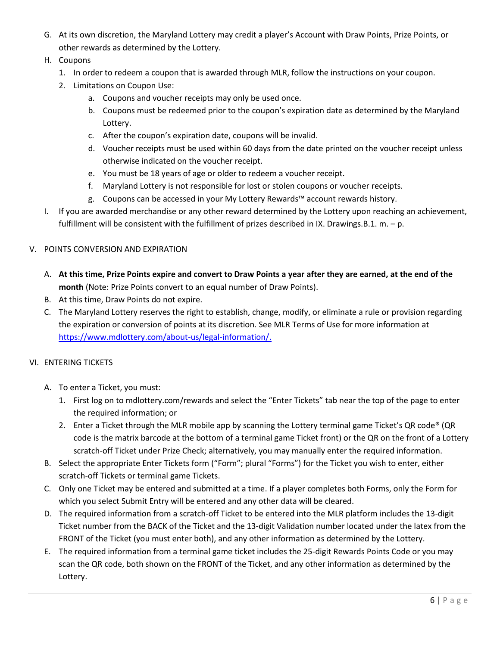- G. At its own discretion, the Maryland Lottery may credit a player's Account with Draw Points, Prize Points, or other rewards as determined by the Lottery.
- H. Coupons
	- 1. In order to redeem a coupon that is awarded through MLR, follow the instructions on your coupon.
	- 2. Limitations on Coupon Use:
		- a. Coupons and voucher receipts may only be used once.
		- b. Coupons must be redeemed prior to the coupon's expiration date as determined by the Maryland Lottery.
		- c. After the coupon's expiration date, coupons will be invalid.
		- d. Voucher receipts must be used within 60 days from the date printed on the voucher receipt unless otherwise indicated on the voucher receipt.
		- e. You must be 18 years of age or older to redeem a voucher receipt.
		- f. Maryland Lottery is not responsible for lost or stolen coupons or voucher receipts.
		- g. Coupons can be accessed in your My Lottery Rewards™ account rewards history.
- I. If you are awarded merchandise or any other reward determined by the Lottery upon reaching an achievement, fulfillment will be consistent with the fulfillment of prizes described in IX. Drawings.B.1. m. – p.

#### V. POINTS CONVERSION AND EXPIRATION

- A. **At this time, Prize Points expire and convert to Draw Points a year after they are earned, at the end of the month** (Note: Prize Points convert to an equal number of Draw Points).
- B. At this time, Draw Points do not expire.
- C. The Maryland Lottery reserves the right to establish, change, modify, or eliminate a rule or provision regarding the expiration or conversion of points at its discretion. See MLR Terms of Use for more information at [https://www.mdlottery.com/about-us/legal-information/.](https://www.mdlottery.com/about-us/legal-information/)

#### VI. ENTERING TICKETS

- A. To enter a Ticket, you must:
	- 1. First log on to mdlottery.com/rewards and select the "Enter Tickets" tab near the top of the page to enter the required information; or
	- 2. Enter a Ticket through the MLR mobile app by scanning the Lottery terminal game Ticket's QR code® (QR code is the matrix barcode at the bottom of a terminal game Ticket front) or the QR on the front of a Lottery scratch-off Ticket under Prize Check; alternatively, you may manually enter the required information.
- B. Select the appropriate Enter Tickets form ("Form"; plural "Forms") for the Ticket you wish to enter, either scratch-off Tickets or terminal game Tickets.
- C. Only one Ticket may be entered and submitted at a time. If a player completes both Forms, only the Form for which you select Submit Entry will be entered and any other data will be cleared.
- D. The required information from a scratch-off Ticket to be entered into the MLR platform includes the 13-digit Ticket number from the BACK of the Ticket and the 13-digit Validation number located under the latex from the FRONT of the Ticket (you must enter both), and any other information as determined by the Lottery.
- E. The required information from a terminal game ticket includes the 25-digit Rewards Points Code or you may scan the QR code, both shown on the FRONT of the Ticket, and any other information as determined by the Lottery.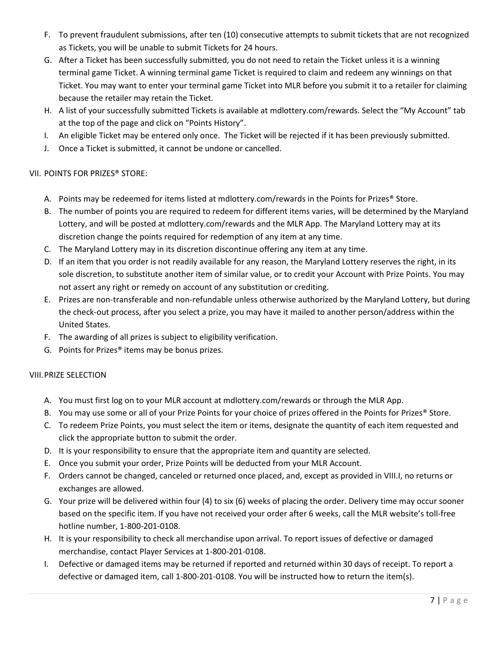- F. To prevent fraudulent submissions, after ten (10) consecutive attempts to submit tickets that are not recognized as Tickets, you will be unable to submit Tickets for 24 hours.
- G. After a Ticket has been successfully submitted, you do not need to retain the Ticket unless it is a winning terminal game Ticket. A winning terminal game Ticket is required to claim and redeem any winnings on that Ticket. You may want to enter your terminal game Ticket into MLR before you submit it to a retailer for claiming because the retailer may retain the Ticket.
- H. A list of your successfully submitted Tickets is available at mdlottery.com/rewards. Select the "My Account" tab at the top of the page and click on "Points History".
- I. An eligible Ticket may be entered only once. The Ticket will be rejected if it has been previously submitted.
- J. Once a Ticket is submitted, it cannot be undone or cancelled.

# VII. POINTS FOR PRIZES® STORE:

- A. Points may be redeemed for items listed at mdlottery.com/rewards in the Points for Prizes® Store.
- B. The number of points you are required to redeem for different items varies, will be determined by the Maryland Lottery, and will be posted at mdlottery.com/rewards and the MLR App. The Maryland Lottery may at its discretion change the points required for redemption of any item at any time.
- C. The Maryland Lottery may in its discretion discontinue offering any item at any time.
- D. If an item that you order is not readily available for any reason, the Maryland Lottery reserves the right, in its sole discretion, to substitute another item of similar value, or to credit your Account with Prize Points. You may not assert any right or remedy on account of any substitution or crediting.
- E. Prizes are non-transferable and non-refundable unless otherwise authorized by the Maryland Lottery, but during the check-out process, after you select a prize, you may have it mailed to another person/address within the United States.
- F. The awarding of all prizes is subject to eligibility verification.
- G. Points for Prizes® items may be bonus prizes.

# VIII.PRIZE SELECTION

- A. You must first log on to your MLR account at mdlottery.com/rewards or through the MLR App.
- B. You may use some or all of your Prize Points for your choice of prizes offered in the Points for Prizes® Store.
- C. To redeem Prize Points, you must select the item or items, designate the quantity of each item requested and click the appropriate button to submit the order.
- D. It is your responsibility to ensure that the appropriate item and quantity are selected.
- E. Once you submit your order, Prize Points will be deducted from your MLR Account.
- F. Orders cannot be changed, canceled or returned once placed, and, except as provided in VIII.I, no returns or exchanges are allowed.
- G. Your prize will be delivered within four (4) to six (6) weeks of placing the order. Delivery time may occur sooner based on the specific item. If you have not received your order after 6 weeks, call the MLR website's toll-free hotline number, 1-800-201-0108.
- H. It is your responsibility to check all merchandise upon arrival. To report issues of defective or damaged merchandise, contact Player Services at 1-800-201-0108.
- I. Defective or damaged items may be returned if reported and returned within 30 days of receipt. To report a defective or damaged item, call 1-800-201-0108. You will be instructed how to return the item(s).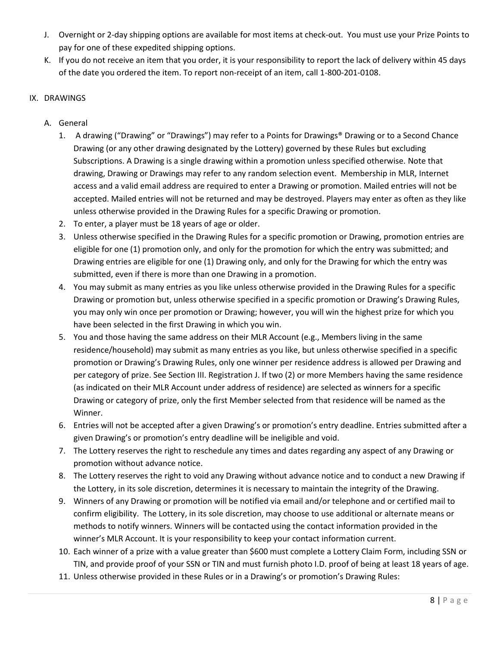- J. Overnight or 2-day shipping options are available for most items at check-out. You must use your Prize Points to pay for one of these expedited shipping options.
- K. If you do not receive an item that you order, it is your responsibility to report the lack of delivery within 45 days of the date you ordered the item. To report non-receipt of an item, call 1-800-201-0108.

## IX. DRAWINGS

- A. General
	- 1. A drawing ("Drawing" or "Drawings") may refer to a Points for Drawings® Drawing or to a Second Chance Drawing (or any other drawing designated by the Lottery) governed by these Rules but excluding Subscriptions. A Drawing is a single drawing within a promotion unless specified otherwise. Note that drawing, Drawing or Drawings may refer to any random selection event. Membership in MLR, Internet access and a valid email address are required to enter a Drawing or promotion. Mailed entries will not be accepted. Mailed entries will not be returned and may be destroyed. Players may enter as often as they like unless otherwise provided in the Drawing Rules for a specific Drawing or promotion.
	- 2. To enter, a player must be 18 years of age or older.
	- 3. Unless otherwise specified in the Drawing Rules for a specific promotion or Drawing, promotion entries are eligible for one (1) promotion only, and only for the promotion for which the entry was submitted; and Drawing entries are eligible for one (1) Drawing only, and only for the Drawing for which the entry was submitted, even if there is more than one Drawing in a promotion.
	- 4. You may submit as many entries as you like unless otherwise provided in the Drawing Rules for a specific Drawing or promotion but, unless otherwise specified in a specific promotion or Drawing's Drawing Rules, you may only win once per promotion or Drawing; however, you will win the highest prize for which you have been selected in the first Drawing in which you win.
	- 5. You and those having the same address on their MLR Account (e.g., Members living in the same residence/household) may submit as many entries as you like, but unless otherwise specified in a specific promotion or Drawing's Drawing Rules, only one winner per residence address is allowed per Drawing and per category of prize. See Section III. Registration J. If two (2) or more Members having the same residence (as indicated on their MLR Account under address of residence) are selected as winners for a specific Drawing or category of prize, only the first Member selected from that residence will be named as the Winner.
	- 6. Entries will not be accepted after a given Drawing's or promotion's entry deadline. Entries submitted after a given Drawing's or promotion's entry deadline will be ineligible and void.
	- 7. The Lottery reserves the right to reschedule any times and dates regarding any aspect of any Drawing or promotion without advance notice.
	- 8. The Lottery reserves the right to void any Drawing without advance notice and to conduct a new Drawing if the Lottery, in its sole discretion, determines it is necessary to maintain the integrity of the Drawing.
	- 9. Winners of any Drawing or promotion will be notified via email and/or telephone and or certified mail to confirm eligibility. The Lottery, in its sole discretion, may choose to use additional or alternate means or methods to notify winners. Winners will be contacted using the contact information provided in the winner's MLR Account. It is your responsibility to keep your contact information current.
	- 10. Each winner of a prize with a value greater than \$600 must complete a Lottery Claim Form, including SSN or TIN, and provide proof of your SSN or TIN and must furnish photo I.D. proof of being at least 18 years of age.
	- 11. Unless otherwise provided in these Rules or in a Drawing's or promotion's Drawing Rules: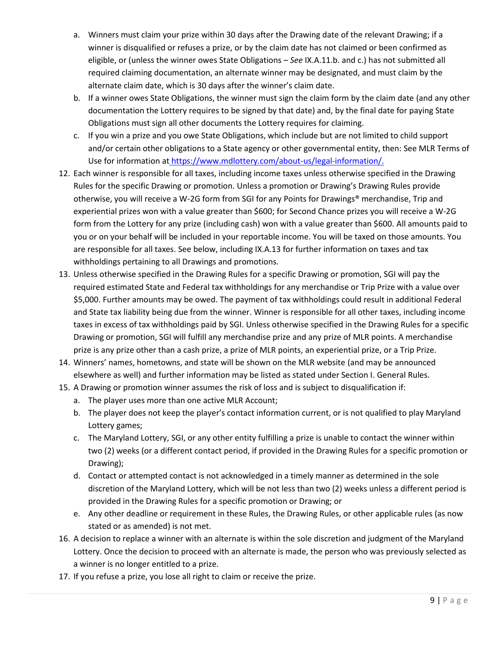- a. Winners must claim your prize within 30 days after the Drawing date of the relevant Drawing; if a winner is disqualified or refuses a prize, or by the claim date has not claimed or been confirmed as eligible, or (unless the winner owes State Obligations – *See* IX.A.11.b. and c.) has not submitted all required claiming documentation, an alternate winner may be designated, and must claim by the alternate claim date, which is 30 days after the winner's claim date.
- b. If a winner owes State Obligations, the winner must sign the claim form by the claim date (and any other documentation the Lottery requires to be signed by that date) and, by the final date for paying State Obligations must sign all other documents the Lottery requires for claiming.
- c. If you win a prize and you owe State Obligations, which include but are not limited to child support and/or certain other obligations to a State agency or other governmental entity, then: See MLR Terms of Use for information at [https://www.mdlottery.com/about-us/legal-information/.](https://www.mdlottery.com/about-us/legal-information/)
- 12. Each winner is responsible for all taxes, including income taxes unless otherwise specified in the Drawing Rules for the specific Drawing or promotion. Unless a promotion or Drawing's Drawing Rules provide otherwise, you will receive a W-2G form from SGI for any Points for Drawings® merchandise, Trip and experiential prizes won with a value greater than \$600; for Second Chance prizes you will receive a W-2G form from the Lottery for any prize (including cash) won with a value greater than \$600. All amounts paid to you or on your behalf will be included in your reportable income. You will be taxed on those amounts. You are responsible for all taxes. See below, including IX.A.13 for further information on taxes and tax withholdings pertaining to all Drawings and promotions.
- 13. Unless otherwise specified in the Drawing Rules for a specific Drawing or promotion, SGI will pay the required estimated State and Federal tax withholdings for any merchandise or Trip Prize with a value over \$5,000. Further amounts may be owed. The payment of tax withholdings could result in additional Federal and State tax liability being due from the winner. Winner is responsible for all other taxes, including income taxes in excess of tax withholdings paid by SGI. Unless otherwise specified in the Drawing Rules for a specific Drawing or promotion, SGI will fulfill any merchandise prize and any prize of MLR points. A merchandise prize is any prize other than a cash prize, a prize of MLR points, an experiential prize, or a Trip Prize.
- 14. Winners' names, hometowns, and state will be shown on the MLR website (and may be announced elsewhere as well) and further information may be listed as stated under Section I. General Rules.
- 15. A Drawing or promotion winner assumes the risk of loss and is subject to disqualification if:
	- a. The player uses more than one active MLR Account;
	- b. The player does not keep the player's contact information current, or is not qualified to play Maryland Lottery games;
	- c. The Maryland Lottery, SGI, or any other entity fulfilling a prize is unable to contact the winner within two (2) weeks (or a different contact period, if provided in the Drawing Rules for a specific promotion or Drawing);
	- d. Contact or attempted contact is not acknowledged in a timely manner as determined in the sole discretion of the Maryland Lottery, which will be not less than two (2) weeks unless a different period is provided in the Drawing Rules for a specific promotion or Drawing; or
	- e. Any other deadline or requirement in these Rules, the Drawing Rules, or other applicable rules (as now stated or as amended) is not met.
- 16. A decision to replace a winner with an alternate is within the sole discretion and judgment of the Maryland Lottery. Once the decision to proceed with an alternate is made, the person who was previously selected as a winner is no longer entitled to a prize.
- 17. If you refuse a prize, you lose all right to claim or receive the prize.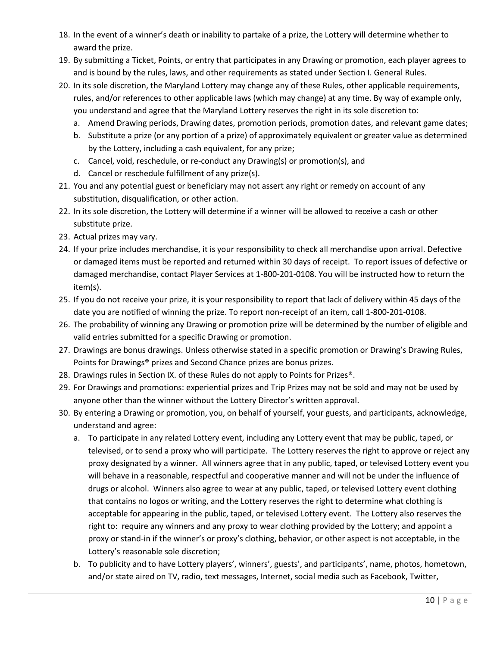- 18. In the event of a winner's death or inability to partake of a prize, the Lottery will determine whether to award the prize.
- 19. By submitting a Ticket, Points, or entry that participates in any Drawing or promotion, each player agrees to and is bound by the rules, laws, and other requirements as stated under Section I. General Rules.
- 20. In its sole discretion, the Maryland Lottery may change any of these Rules, other applicable requirements, rules, and/or references to other applicable laws (which may change) at any time. By way of example only, you understand and agree that the Maryland Lottery reserves the right in its sole discretion to:
	- a. Amend Drawing periods, Drawing dates, promotion periods, promotion dates, and relevant game dates;
	- b. Substitute a prize (or any portion of a prize) of approximately equivalent or greater value as determined by the Lottery, including a cash equivalent, for any prize;
	- c. Cancel, void, reschedule, or re-conduct any Drawing(s) or promotion(s), and
	- d. Cancel or reschedule fulfillment of any prize(s).
- 21. You and any potential guest or beneficiary may not assert any right or remedy on account of any substitution, disqualification, or other action.
- 22. In its sole discretion, the Lottery will determine if a winner will be allowed to receive a cash or other substitute prize.
- 23. Actual prizes may vary.
- 24. If your prize includes merchandise, it is your responsibility to check all merchandise upon arrival. Defective or damaged items must be reported and returned within 30 days of receipt. To report issues of defective or damaged merchandise, contact Player Services at 1-800-201-0108. You will be instructed how to return the item(s).
- 25. If you do not receive your prize, it is your responsibility to report that lack of delivery within 45 days of the date you are notified of winning the prize. To report non-receipt of an item, call 1-800-201-0108.
- 26. The probability of winning any Drawing or promotion prize will be determined by the number of eligible and valid entries submitted for a specific Drawing or promotion.
- 27. Drawings are bonus drawings. Unless otherwise stated in a specific promotion or Drawing's Drawing Rules, Points for Drawings® prizes and Second Chance prizes are bonus prizes.
- 28. Drawings rules in Section IX. of these Rules do not apply to Points for Prizes®.
- 29. For Drawings and promotions: experiential prizes and Trip Prizes may not be sold and may not be used by anyone other than the winner without the Lottery Director's written approval.
- 30. By entering a Drawing or promotion, you, on behalf of yourself, your guests, and participants, acknowledge, understand and agree:
	- a. To participate in any related Lottery event, including any Lottery event that may be public, taped, or televised, or to send a proxy who will participate. The Lottery reserves the right to approve or reject any proxy designated by a winner. All winners agree that in any public, taped, or televised Lottery event you will behave in a reasonable, respectful and cooperative manner and will not be under the influence of drugs or alcohol. Winners also agree to wear at any public, taped, or televised Lottery event clothing that contains no logos or writing, and the Lottery reserves the right to determine what clothing is acceptable for appearing in the public, taped, or televised Lottery event. The Lottery also reserves the right to: require any winners and any proxy to wear clothing provided by the Lottery; and appoint a proxy or stand-in if the winner's or proxy's clothing, behavior, or other aspect is not acceptable, in the Lottery's reasonable sole discretion;
	- b. To publicity and to have Lottery players', winners', guests', and participants', name, photos, hometown, and/or state aired on TV, radio, text messages, Internet, social media such as Facebook, Twitter,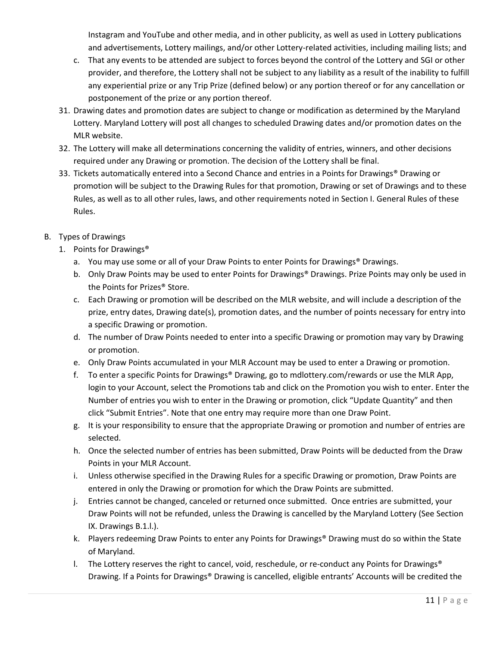Instagram and YouTube and other media, and in other publicity, as well as used in Lottery publications and advertisements, Lottery mailings, and/or other Lottery-related activities, including mailing lists; and

- c. That any events to be attended are subject to forces beyond the control of the Lottery and SGI or other provider, and therefore, the Lottery shall not be subject to any liability as a result of the inability to fulfill any experiential prize or any Trip Prize (defined below) or any portion thereof or for any cancellation or postponement of the prize or any portion thereof.
- 31. Drawing dates and promotion dates are subject to change or modification as determined by the Maryland Lottery. Maryland Lottery will post all changes to scheduled Drawing dates and/or promotion dates on the MLR website.
- 32. The Lottery will make all determinations concerning the validity of entries, winners, and other decisions required under any Drawing or promotion. The decision of the Lottery shall be final.
- 33. Tickets automatically entered into a Second Chance and entries in a Points for Drawings® Drawing or promotion will be subject to the Drawing Rules for that promotion, Drawing or set of Drawings and to these Rules, as well as to all other rules, laws, and other requirements noted in Section I. General Rules of these Rules.
- B. Types of Drawings
	- 1. Points for Drawings®
		- a. You may use some or all of your Draw Points to enter Points for Drawings® Drawings.
		- b. Only Draw Points may be used to enter Points for Drawings® Drawings. Prize Points may only be used in the Points for Prizes® Store.
		- c. Each Drawing or promotion will be described on the MLR website, and will include a description of the prize, entry dates, Drawing date(s), promotion dates, and the number of points necessary for entry into a specific Drawing or promotion.
		- d. The number of Draw Points needed to enter into a specific Drawing or promotion may vary by Drawing or promotion.
		- e. Only Draw Points accumulated in your MLR Account may be used to enter a Drawing or promotion.
		- f. To enter a specific Points for Drawings® Drawing, go to mdlottery.com/rewards or use the MLR App, login to your Account, select the Promotions tab and click on the Promotion you wish to enter. Enter the Number of entries you wish to enter in the Drawing or promotion, click "Update Quantity" and then click "Submit Entries". Note that one entry may require more than one Draw Point.
		- g. It is your responsibility to ensure that the appropriate Drawing or promotion and number of entries are selected.
		- h. Once the selected number of entries has been submitted, Draw Points will be deducted from the Draw Points in your MLR Account.
		- i. Unless otherwise specified in the Drawing Rules for a specific Drawing or promotion, Draw Points are entered in only the Drawing or promotion for which the Draw Points are submitted.
		- j. Entries cannot be changed, canceled or returned once submitted. Once entries are submitted, your Draw Points will not be refunded, unless the Drawing is cancelled by the Maryland Lottery (See Section IX. Drawings B.1.l.).
		- k. Players redeeming Draw Points to enter any Points for Drawings® Drawing must do so within the State of Maryland.
		- l. The Lottery reserves the right to cancel, void, reschedule, or re-conduct any Points for Drawings<sup>®</sup> Drawing. If a Points for Drawings® Drawing is cancelled, eligible entrants' Accounts will be credited the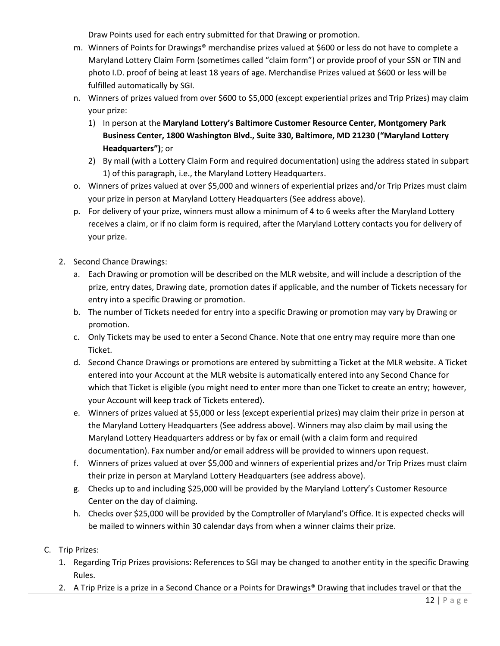Draw Points used for each entry submitted for that Drawing or promotion.

- m. Winners of Points for Drawings® merchandise prizes valued at \$600 or less do not have to complete a Maryland Lottery Claim Form (sometimes called "claim form") or provide proof of your SSN or TIN and photo I.D. proof of being at least 18 years of age. Merchandise Prizes valued at \$600 or less will be fulfilled automatically by SGI.
- n. Winners of prizes valued from over \$600 to \$5,000 (except experiential prizes and Trip Prizes) may claim your prize:
	- 1) In person at the **Maryland Lottery's Baltimore Customer Resource Center, Montgomery Park Business Center, 1800 Washington Blvd., Suite 330, Baltimore, MD 21230 ("Maryland Lottery Headquarters")**; or
	- 2) By mail (with a Lottery Claim Form and required documentation) using the address stated in subpart 1) of this paragraph, i.e., the Maryland Lottery Headquarters.
- o. Winners of prizes valued at over \$5,000 and winners of experiential prizes and/or Trip Prizes must claim your prize in person at Maryland Lottery Headquarters (See address above).
- p. For delivery of your prize, winners must allow a minimum of 4 to 6 weeks after the Maryland Lottery receives a claim, or if no claim form is required, after the Maryland Lottery contacts you for delivery of your prize.
- 2. Second Chance Drawings:
	- a. Each Drawing or promotion will be described on the MLR website, and will include a description of the prize, entry dates, Drawing date, promotion dates if applicable, and the number of Tickets necessary for entry into a specific Drawing or promotion.
	- b. The number of Tickets needed for entry into a specific Drawing or promotion may vary by Drawing or promotion.
	- c. Only Tickets may be used to enter a Second Chance. Note that one entry may require more than one Ticket.
	- d. Second Chance Drawings or promotions are entered by submitting a Ticket at the MLR website. A Ticket entered into your Account at the MLR website is automatically entered into any Second Chance for which that Ticket is eligible (you might need to enter more than one Ticket to create an entry; however, your Account will keep track of Tickets entered).
	- e. Winners of prizes valued at \$5,000 or less (except experiential prizes) may claim their prize in person at the Maryland Lottery Headquarters (See address above). Winners may also claim by mail using the Maryland Lottery Headquarters address or by fax or email (with a claim form and required documentation). Fax number and/or email address will be provided to winners upon request.
	- f. Winners of prizes valued at over \$5,000 and winners of experiential prizes and/or Trip Prizes must claim their prize in person at Maryland Lottery Headquarters (see address above).
	- g. Checks up to and including \$25,000 will be provided by the Maryland Lottery's Customer Resource Center on the day of claiming.
	- h. Checks over \$25,000 will be provided by the Comptroller of Maryland's Office. It is expected checks will be mailed to winners within 30 calendar days from when a winner claims their prize.
- C. Trip Prizes:
	- 1. Regarding Trip Prizes provisions: References to SGI may be changed to another entity in the specific Drawing Rules.
	- 2. A Trip Prize is a prize in a Second Chance or a Points for Drawings® Drawing that includes travel or that the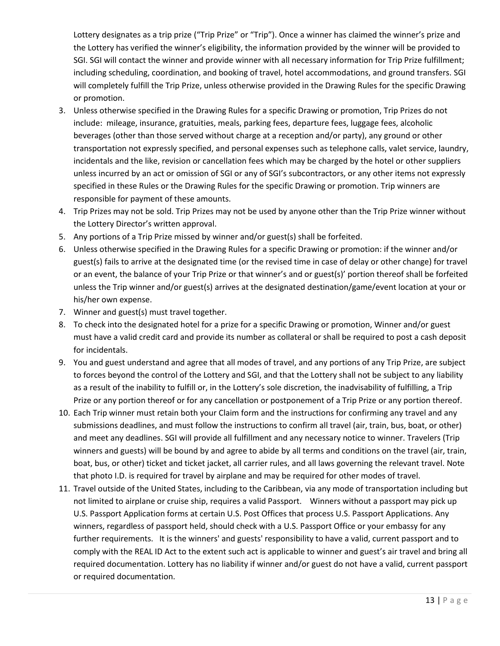Lottery designates as a trip prize ("Trip Prize" or "Trip"). Once a winner has claimed the winner's prize and the Lottery has verified the winner's eligibility, the information provided by the winner will be provided to SGI. SGI will contact the winner and provide winner with all necessary information for Trip Prize fulfillment; including scheduling, coordination, and booking of travel, hotel accommodations, and ground transfers. SGI will completely fulfill the Trip Prize, unless otherwise provided in the Drawing Rules for the specific Drawing or promotion.

- 3. Unless otherwise specified in the Drawing Rules for a specific Drawing or promotion, Trip Prizes do not include: mileage, insurance, gratuities, meals, parking fees, departure fees, luggage fees, alcoholic beverages (other than those served without charge at a reception and/or party), any ground or other transportation not expressly specified, and personal expenses such as telephone calls, valet service, laundry, incidentals and the like, revision or cancellation fees which may be charged by the hotel or other suppliers unless incurred by an act or omission of SGI or any of SGI's subcontractors, or any other items not expressly specified in these Rules or the Drawing Rules for the specific Drawing or promotion. Trip winners are responsible for payment of these amounts.
- 4. Trip Prizes may not be sold. Trip Prizes may not be used by anyone other than the Trip Prize winner without the Lottery Director's written approval.
- 5. Any portions of a Trip Prize missed by winner and/or guest(s) shall be forfeited.
- 6. Unless otherwise specified in the Drawing Rules for a specific Drawing or promotion: if the winner and/or guest(s) fails to arrive at the designated time (or the revised time in case of delay or other change) for travel or an event, the balance of your Trip Prize or that winner's and or guest(s)' portion thereof shall be forfeited unless the Trip winner and/or guest(s) arrives at the designated destination/game/event location at your or his/her own expense.
- 7. Winner and guest(s) must travel together.
- 8. To check into the designated hotel for a prize for a specific Drawing or promotion, Winner and/or guest must have a valid credit card and provide its number as collateral or shall be required to post a cash deposit for incidentals.
- 9. You and guest understand and agree that all modes of travel, and any portions of any Trip Prize, are subject to forces beyond the control of the Lottery and SGI, and that the Lottery shall not be subject to any liability as a result of the inability to fulfill or, in the Lottery's sole discretion, the inadvisability of fulfilling, a Trip Prize or any portion thereof or for any cancellation or postponement of a Trip Prize or any portion thereof.
- 10. Each Trip winner must retain both your Claim form and the instructions for confirming any travel and any submissions deadlines, and must follow the instructions to confirm all travel (air, train, bus, boat, or other) and meet any deadlines. SGI will provide all fulfillment and any necessary notice to winner. Travelers (Trip winners and guests) will be bound by and agree to abide by all terms and conditions on the travel (air, train, boat, bus, or other) ticket and ticket jacket, all carrier rules, and all laws governing the relevant travel. Note that photo I.D. is required for travel by airplane and may be required for other modes of travel.
- 11. Travel outside of the United States, including to the Caribbean, via any mode of transportation including but not limited to airplane or cruise ship, requires a valid Passport. Winners without a passport may pick up U.S. Passport Application forms at certain U.S. Post Offices that process U.S. Passport Applications. Any winners, regardless of passport held, should check with a U.S. Passport Office or your embassy for any further requirements. It is the winners' and guests' responsibility to have a valid, current passport and to comply with the REAL ID Act to the extent such act is applicable to winner and guest's air travel and bring all required documentation. Lottery has no liability if winner and/or guest do not have a valid, current passport or required documentation.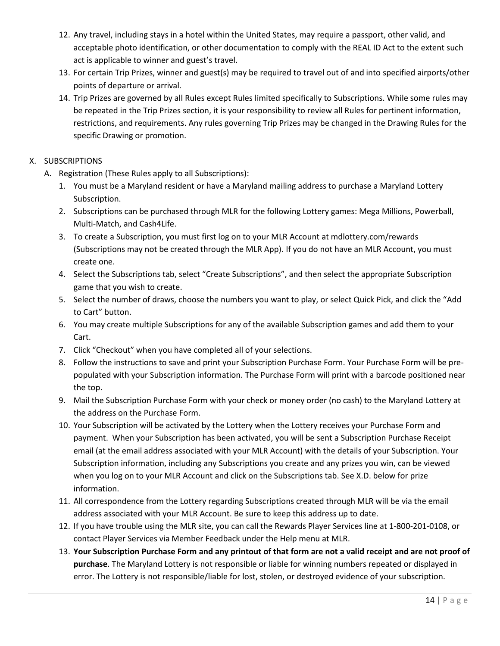- 12. Any travel, including stays in a hotel within the United States, may require a passport, other valid, and acceptable photo identification, or other documentation to comply with the REAL ID Act to the extent such act is applicable to winner and guest's travel.
- 13. For certain Trip Prizes, winner and guest(s) may be required to travel out of and into specified airports/other points of departure or arrival.
- 14. Trip Prizes are governed by all Rules except Rules limited specifically to Subscriptions. While some rules may be repeated in the Trip Prizes section, it is your responsibility to review all Rules for pertinent information, restrictions, and requirements. Any rules governing Trip Prizes may be changed in the Drawing Rules for the specific Drawing or promotion.

## X. SUBSCRIPTIONS

- A. Registration (These Rules apply to all Subscriptions):
	- 1. You must be a Maryland resident or have a Maryland mailing address to purchase a Maryland Lottery Subscription.
	- 2. Subscriptions can be purchased through MLR for the following Lottery games: Mega Millions, Powerball, Multi-Match, and Cash4Life.
	- 3. To create a Subscription, you must first log on to your MLR Account at mdlottery.com/rewards (Subscriptions may not be created through the MLR App). If you do not have an MLR Account, you must create one.
	- 4. Select the Subscriptions tab, select "Create Subscriptions", and then select the appropriate Subscription game that you wish to create.
	- 5. Select the number of draws, choose the numbers you want to play, or select Quick Pick, and click the "Add to Cart" button.
	- 6. You may create multiple Subscriptions for any of the available Subscription games and add them to your Cart.
	- 7. Click "Checkout" when you have completed all of your selections.
	- 8. Follow the instructions to save and print your Subscription Purchase Form. Your Purchase Form will be prepopulated with your Subscription information. The Purchase Form will print with a barcode positioned near the top.
	- 9. Mail the Subscription Purchase Form with your check or money order (no cash) to the Maryland Lottery at the address on the Purchase Form.
	- 10. Your Subscription will be activated by the Lottery when the Lottery receives your Purchase Form and payment. When your Subscription has been activated, you will be sent a Subscription Purchase Receipt email (at the email address associated with your MLR Account) with the details of your Subscription. Your Subscription information, including any Subscriptions you create and any prizes you win, can be viewed when you log on to your MLR Account and click on the Subscriptions tab. See X.D. below for prize information.
	- 11. All correspondence from the Lottery regarding Subscriptions created through MLR will be via the email address associated with your MLR Account. Be sure to keep this address up to date.
	- 12. If you have trouble using the MLR site, you can call the Rewards Player Services line at 1-800-201-0108, or contact Player Services via Member Feedback under the Help menu at MLR.
	- 13. **Your Subscription Purchase Form and any printout of that form are not a valid receipt and are not proof of purchase**. The Maryland Lottery is not responsible or liable for winning numbers repeated or displayed in error. The Lottery is not responsible/liable for lost, stolen, or destroyed evidence of your subscription.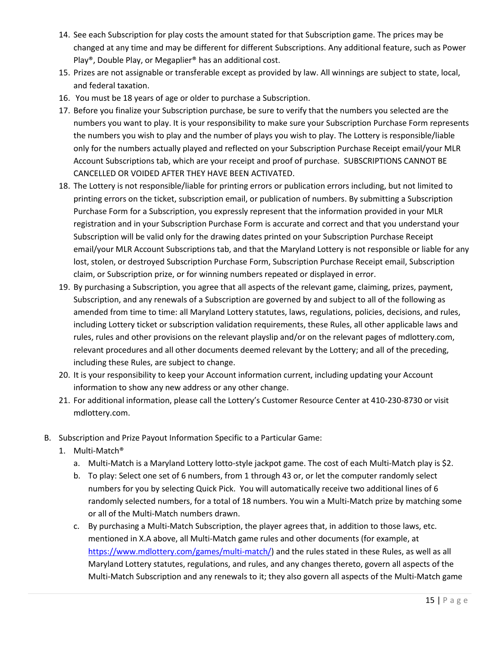- 14. See each Subscription for play costs the amount stated for that Subscription game. The prices may be changed at any time and may be different for different Subscriptions. Any additional feature, such as Power Play®, Double Play, or Megaplier® has an additional cost.
- 15. Prizes are not assignable or transferable except as provided by law. All winnings are subject to state, local, and federal taxation.
- 16. You must be 18 years of age or older to purchase a Subscription.
- 17. Before you finalize your Subscription purchase, be sure to verify that the numbers you selected are the numbers you want to play. It is your responsibility to make sure your Subscription Purchase Form represents the numbers you wish to play and the number of plays you wish to play. The Lottery is responsible/liable only for the numbers actually played and reflected on your Subscription Purchase Receipt email/your MLR Account Subscriptions tab, which are your receipt and proof of purchase. SUBSCRIPTIONS CANNOT BE CANCELLED OR VOIDED AFTER THEY HAVE BEEN ACTIVATED.
- 18. The Lottery is not responsible/liable for printing errors or publication errors including, but not limited to printing errors on the ticket, subscription email, or publication of numbers. By submitting a Subscription Purchase Form for a Subscription, you expressly represent that the information provided in your MLR registration and in your Subscription Purchase Form is accurate and correct and that you understand your Subscription will be valid only for the drawing dates printed on your Subscription Purchase Receipt email/your MLR Account Subscriptions tab, and that the Maryland Lottery is not responsible or liable for any lost, stolen, or destroyed Subscription Purchase Form, Subscription Purchase Receipt email, Subscription claim, or Subscription prize, or for winning numbers repeated or displayed in error.
- 19. By purchasing a Subscription, you agree that all aspects of the relevant game, claiming, prizes, payment, Subscription, and any renewals of a Subscription are governed by and subject to all of the following as amended from time to time: all Maryland Lottery statutes, laws, regulations, policies, decisions, and rules, including Lottery ticket or subscription validation requirements, these Rules, all other applicable laws and rules, rules and other provisions on the relevant playslip and/or on the relevant pages of mdlottery.com, relevant procedures and all other documents deemed relevant by the Lottery; and all of the preceding, including these Rules, are subject to change.
- 20. It is your responsibility to keep your Account information current, including updating your Account information to show any new address or any other change.
- 21. For additional information, please call the Lottery's Customer Resource Center at 410-230-8730 or visit mdlottery.com.
- B. Subscription and Prize Payout Information Specific to a Particular Game:
	- 1. Multi-Match®
		- a. Multi-Match is a Maryland Lottery lotto-style jackpot game. The cost of each Multi-Match play is \$2.
		- b. To play: Select one set of 6 numbers, from 1 through 43 or, or let the computer randomly select numbers for you by selecting Quick Pick. You will automatically receive two additional lines of 6 randomly selected numbers, for a total of 18 numbers. You win a Multi-Match prize by matching some or all of the Multi-Match numbers drawn.
		- c. By purchasing a Multi-Match Subscription, the player agrees that, in addition to those laws, etc. mentioned in X.A above, all Multi-Match game rules and other documents (for example, at [https://www.mdlottery.com/games/multi-match/\)](https://www.mdlottery.com/games/multi-match/) and the rules stated in these Rules, as well as all Maryland Lottery statutes, regulations, and rules, and any changes thereto, govern all aspects of the Multi-Match Subscription and any renewals to it; they also govern all aspects of the Multi-Match game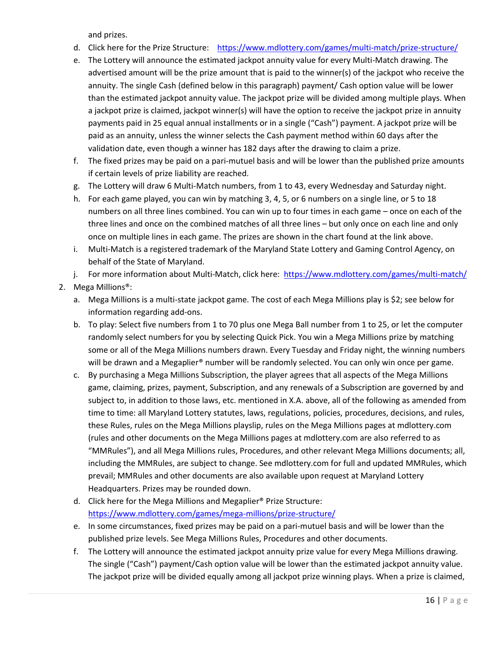and prizes.

- d. Click here for the Prize Structure: <https://www.mdlottery.com/games/multi-match/prize-structure/>
- e. The Lottery will announce the estimated jackpot annuity value for every Multi-Match drawing. The advertised amount will be the prize amount that is paid to the winner(s) of the jackpot who receive the annuity. The single Cash (defined below in this paragraph) payment/ Cash option value will be lower than the estimated jackpot annuity value. The jackpot prize will be divided among multiple plays. When a jackpot prize is claimed, jackpot winner(s) will have the option to receive the jackpot prize in annuity payments paid in 25 equal annual installments or in a single ("Cash") payment. A jackpot prize will be paid as an annuity, unless the winner selects the Cash payment method within 60 days after the validation date, even though a winner has 182 days after the drawing to claim a prize.
- f. The fixed prizes may be paid on a pari-mutuel basis and will be lower than the published prize amounts if certain levels of prize liability are reached.
- g. The Lottery will draw 6 Multi-Match numbers, from 1 to 43, every Wednesday and Saturday night.
- h. For each game played, you can win by matching 3, 4, 5, or 6 numbers on a single line, or 5 to 18 numbers on all three lines combined. You can win up to four times in each game – once on each of the three lines and once on the combined matches of all three lines – but only once on each line and only once on multiple lines in each game. The prizes are shown in the chart found at the link above.
- i. Multi-Match is a registered trademark of the Maryland State Lottery and Gaming Control Agency, on behalf of the State of Maryland.
- j. For more information about Multi-Match, click here:<https://www.mdlottery.com/games/multi-match/>
- 2. Mega Millions®:
	- a. Mega Millions is a multi-state jackpot game. The cost of each Mega Millions play is \$2; see below for information regarding add-ons.
	- b. To play: Select five numbers from 1 to 70 plus one Mega Ball number from 1 to 25, or let the computer randomly select numbers for you by selecting Quick Pick. You win a Mega Millions prize by matching some or all of the Mega Millions numbers drawn. Every Tuesday and Friday night, the winning numbers will be drawn and a Megaplier<sup>®</sup> number will be randomly selected. You can only win once per game.
	- c. By purchasing a Mega Millions Subscription, the player agrees that all aspects of the Mega Millions game, claiming, prizes, payment, Subscription, and any renewals of a Subscription are governed by and subject to, in addition to those laws, etc. mentioned in X.A. above, all of the following as amended from time to time: all Maryland Lottery statutes, laws, regulations, policies, procedures, decisions, and rules, these Rules, rules on the Mega Millions playslip, rules on the Mega Millions pages at mdlottery.com (rules and other documents on the Mega Millions pages at mdlottery.com are also referred to as "MMRules"), and all Mega Millions rules, Procedures, and other relevant Mega Millions documents; all, including the MMRules, are subject to change. See mdlottery.com for full and updated MMRules, which prevail; MMRules and other documents are also available upon request at Maryland Lottery Headquarters. Prizes may be rounded down.
	- d. Click here for the Mega Millions and Megaplier® Prize Structure: <https://www.mdlottery.com/games/mega-millions/prize-structure/>
	- e. In some circumstances, fixed prizes may be paid on a pari-mutuel basis and will be lower than the published prize levels. See Mega Millions Rules, Procedures and other documents.
	- f. The Lottery will announce the estimated jackpot annuity prize value for every Mega Millions drawing. The single ("Cash") payment/Cash option value will be lower than the estimated jackpot annuity value. The jackpot prize will be divided equally among all jackpot prize winning plays. When a prize is claimed,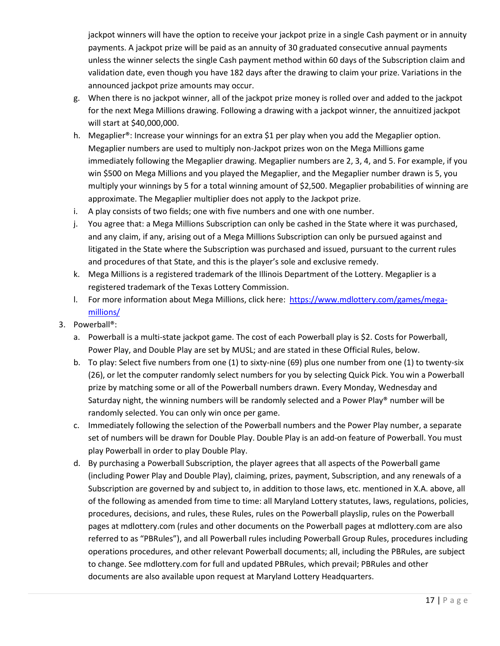jackpot winners will have the option to receive your jackpot prize in a single Cash payment or in annuity payments. A jackpot prize will be paid as an annuity of 30 graduated consecutive annual payments unless the winner selects the single Cash payment method within 60 days of the Subscription claim and validation date, even though you have 182 days after the drawing to claim your prize. Variations in the announced jackpot prize amounts may occur.

- g. When there is no jackpot winner, all of the jackpot prize money is rolled over and added to the jackpot for the next Mega Millions drawing. Following a drawing with a jackpot winner, the annuitized jackpot will start at \$40,000,000.
- h. Megaplier®: Increase your winnings for an extra \$1 per play when you add the Megaplier option. Megaplier numbers are used to multiply non-Jackpot prizes won on the Mega Millions game immediately following the Megaplier drawing. Megaplier numbers are 2, 3, 4, and 5. For example, if you win \$500 on Mega Millions and you played the Megaplier, and the Megaplier number drawn is 5, you multiply your winnings by 5 for a total winning amount of \$2,500. Megaplier probabilities of winning are approximate. The Megaplier multiplier does not apply to the Jackpot prize.
- i. A play consists of two fields; one with five numbers and one with one number.
- j. You agree that: a Mega Millions Subscription can only be cashed in the State where it was purchased, and any claim, if any, arising out of a Mega Millions Subscription can only be pursued against and litigated in the State where the Subscription was purchased and issued, pursuant to the current rules and procedures of that State, and this is the player's sole and exclusive remedy.
- k. Mega Millions is a registered trademark of the Illinois Department of the Lottery. Megaplier is a registered trademark of the Texas Lottery Commission.
- l. For more information about Mega Millions, click here: [https://www.mdlottery.com/games/mega](https://www.mdlottery.com/games/mega-millions/)[millions/](https://www.mdlottery.com/games/mega-millions/)
- 3. Powerball®:
	- a. Powerball is a multi-state jackpot game. The cost of each Powerball play is \$2. Costs for Powerball, Power Play, and Double Play are set by MUSL; and are stated in these Official Rules, below.
	- b. To play: Select five numbers from one (1) to sixty-nine (69) plus one number from one (1) to twenty-six (26), or let the computer randomly select numbers for you by selecting Quick Pick. You win a Powerball prize by matching some or all of the Powerball numbers drawn. Every Monday, Wednesday and Saturday night, the winning numbers will be randomly selected and a Power Play® number will be randomly selected. You can only win once per game.
	- c. Immediately following the selection of the Powerball numbers and the Power Play number, a separate set of numbers will be drawn for Double Play. Double Play is an add-on feature of Powerball. You must play Powerball in order to play Double Play.
	- d. By purchasing a Powerball Subscription, the player agrees that all aspects of the Powerball game (including Power Play and Double Play), claiming, prizes, payment, Subscription, and any renewals of a Subscription are governed by and subject to, in addition to those laws, etc. mentioned in X.A. above, all of the following as amended from time to time: all Maryland Lottery statutes, laws, regulations, policies, procedures, decisions, and rules, these Rules, rules on the Powerball playslip, rules on the Powerball pages at mdlottery.com (rules and other documents on the Powerball pages at mdlottery.com are also referred to as "PBRules"), and all Powerball rules including Powerball Group Rules, procedures including operations procedures, and other relevant Powerball documents; all, including the PBRules, are subject to change. See mdlottery.com for full and updated PBRules, which prevail; PBRules and other documents are also available upon request at Maryland Lottery Headquarters.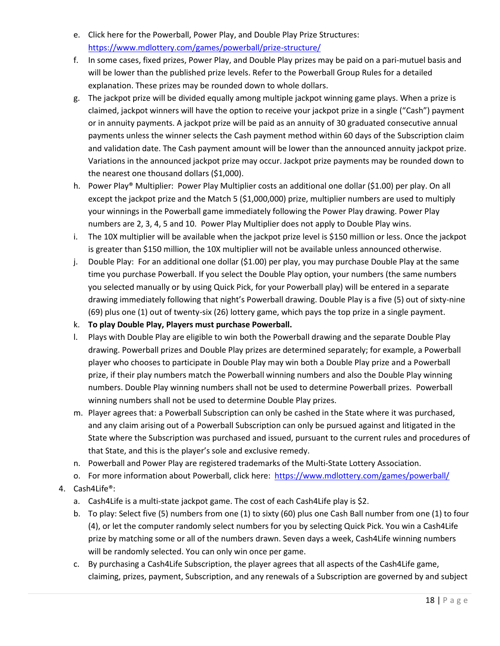- e. Click here for the Powerball, Power Play, and Double Play Prize Structures: <https://www.mdlottery.com/games/powerball/prize-structure/>
- f. In some cases, fixed prizes, Power Play, and Double Play prizes may be paid on a pari-mutuel basis and will be lower than the published prize levels. Refer to the Powerball Group Rules for a detailed explanation. These prizes may be rounded down to whole dollars.
- g. The jackpot prize will be divided equally among multiple jackpot winning game plays. When a prize is claimed, jackpot winners will have the option to receive your jackpot prize in a single ("Cash") payment or in annuity payments. A jackpot prize will be paid as an annuity of 30 graduated consecutive annual payments unless the winner selects the Cash payment method within 60 days of the Subscription claim and validation date. The Cash payment amount will be lower than the announced annuity jackpot prize. Variations in the announced jackpot prize may occur. Jackpot prize payments may be rounded down to the nearest one thousand dollars (\$1,000).
- h. Power Play® Multiplier: Power Play Multiplier costs an additional one dollar (\$1.00) per play. On all except the jackpot prize and the Match 5 (\$1,000,000) prize, multiplier numbers are used to multiply your winnings in the Powerball game immediately following the Power Play drawing. Power Play numbers are 2, 3, 4, 5 and 10. Power Play Multiplier does not apply to Double Play wins.
- i. The 10X multiplier will be available when the jackpot prize level is \$150 million or less. Once the jackpot is greater than \$150 million, the 10X multiplier will not be available unless announced otherwise.
- j. Double Play: For an additional one dollar (\$1.00) per play, you may purchase Double Play at the same time you purchase Powerball. If you select the Double Play option, your numbers (the same numbers you selected manually or by using Quick Pick, for your Powerball play) will be entered in a separate drawing immediately following that night's Powerball drawing. Double Play is a five (5) out of sixty-nine (69) plus one (1) out of twenty-six (26) lottery game, which pays the top prize in a single payment.
- k. **To play Double Play, Players must purchase Powerball.**
- l. Plays with Double Play are eligible to win both the Powerball drawing and the separate Double Play drawing. Powerball prizes and Double Play prizes are determined separately; for example, a Powerball player who chooses to participate in Double Play may win both a Double Play prize and a Powerball prize, if their play numbers match the Powerball winning numbers and also the Double Play winning numbers. Double Play winning numbers shall not be used to determine Powerball prizes. Powerball winning numbers shall not be used to determine Double Play prizes.
- m. Player agrees that: a Powerball Subscription can only be cashed in the State where it was purchased, and any claim arising out of a Powerball Subscription can only be pursued against and litigated in the State where the Subscription was purchased and issued, pursuant to the current rules and procedures of that State, and this is the player's sole and exclusive remedy.
- n. Powerball and Power Play are registered trademarks of the Multi-State Lottery Association.
- o. For more information about Powerball, click here: <https://www.mdlottery.com/games/powerball/>
- 4. Cash4Life®:
	- a. Cash4Life is a multi-state jackpot game. The cost of each Cash4Life play is \$2.
	- b. To play: Select five (5) numbers from one (1) to sixty (60) plus one Cash Ball number from one (1) to four (4), or let the computer randomly select numbers for you by selecting Quick Pick. You win a Cash4Life prize by matching some or all of the numbers drawn. Seven days a week, Cash4Life winning numbers will be randomly selected. You can only win once per game.
	- c. By purchasing a Cash4Life Subscription, the player agrees that all aspects of the Cash4Life game, claiming, prizes, payment, Subscription, and any renewals of a Subscription are governed by and subject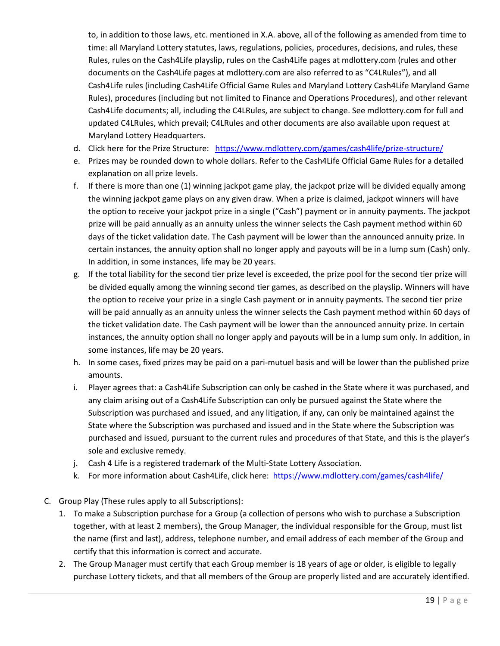to, in addition to those laws, etc. mentioned in X.A. above, all of the following as amended from time to time: all Maryland Lottery statutes, laws, regulations, policies, procedures, decisions, and rules, these Rules, rules on the Cash4Life playslip, rules on the Cash4Life pages at mdlottery.com (rules and other documents on the Cash4Life pages at mdlottery.com are also referred to as "C4LRules"), and all Cash4Life rules (including Cash4Life Official Game Rules and Maryland Lottery Cash4Life Maryland Game Rules), procedures (including but not limited to Finance and Operations Procedures), and other relevant Cash4Life documents; all, including the C4LRules, are subject to change. See mdlottery.com for full and updated C4LRules, which prevail; C4LRules and other documents are also available upon request at Maryland Lottery Headquarters.

- d. Click here for the Prize Structure: <https://www.mdlottery.com/games/cash4life/prize-structure/>
- e. Prizes may be rounded down to whole dollars. Refer to the Cash4Life Official Game Rules for a detailed explanation on all prize levels.
- f. If there is more than one (1) winning jackpot game play, the jackpot prize will be divided equally among the winning jackpot game plays on any given draw. When a prize is claimed, jackpot winners will have the option to receive your jackpot prize in a single ("Cash") payment or in annuity payments. The jackpot prize will be paid annually as an annuity unless the winner selects the Cash payment method within 60 days of the ticket validation date. The Cash payment will be lower than the announced annuity prize. In certain instances, the annuity option shall no longer apply and payouts will be in a lump sum (Cash) only. In addition, in some instances, life may be 20 years.
- g. If the total liability for the second tier prize level is exceeded, the prize pool for the second tier prize will be divided equally among the winning second tier games, as described on the playslip. Winners will have the option to receive your prize in a single Cash payment or in annuity payments. The second tier prize will be paid annually as an annuity unless the winner selects the Cash payment method within 60 days of the ticket validation date. The Cash payment will be lower than the announced annuity prize. In certain instances, the annuity option shall no longer apply and payouts will be in a lump sum only. In addition, in some instances, life may be 20 years.
- h. In some cases, fixed prizes may be paid on a pari-mutuel basis and will be lower than the published prize amounts.
- i. Player agrees that: a Cash4Life Subscription can only be cashed in the State where it was purchased, and any claim arising out of a Cash4Life Subscription can only be pursued against the State where the Subscription was purchased and issued, and any litigation, if any, can only be maintained against the State where the Subscription was purchased and issued and in the State where the Subscription was purchased and issued, pursuant to the current rules and procedures of that State, and this is the player's sole and exclusive remedy.
- j. Cash 4 Life is a registered trademark of the Multi-State Lottery Association.
- k. For more information about Cash4Life, click here: <https://www.mdlottery.com/games/cash4life/>
- C. Group Play (These rules apply to all Subscriptions):
	- 1. To make a Subscription purchase for a Group (a collection of persons who wish to purchase a Subscription together, with at least 2 members), the Group Manager, the individual responsible for the Group, must list the name (first and last), address, telephone number, and email address of each member of the Group and certify that this information is correct and accurate.
	- 2. The Group Manager must certify that each Group member is 18 years of age or older, is eligible to legally purchase Lottery tickets, and that all members of the Group are properly listed and are accurately identified.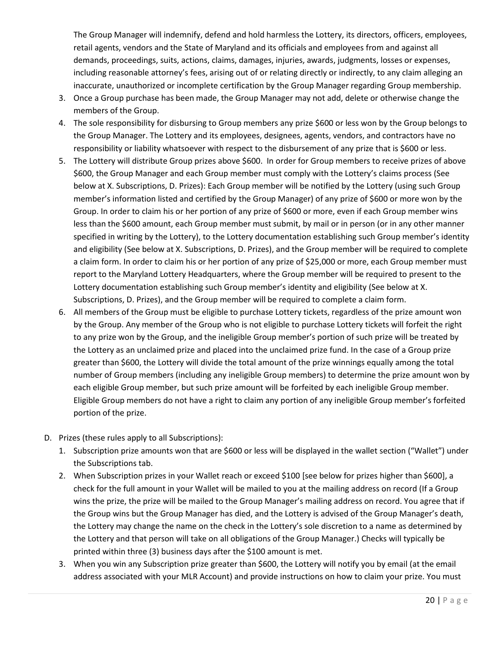The Group Manager will indemnify, defend and hold harmless the Lottery, its directors, officers, employees, retail agents, vendors and the State of Maryland and its officials and employees from and against all demands, proceedings, suits, actions, claims, damages, injuries, awards, judgments, losses or expenses, including reasonable attorney's fees, arising out of or relating directly or indirectly, to any claim alleging an inaccurate, unauthorized or incomplete certification by the Group Manager regarding Group membership.

- 3. Once a Group purchase has been made, the Group Manager may not add, delete or otherwise change the members of the Group.
- 4. The sole responsibility for disbursing to Group members any prize \$600 or less won by the Group belongs to the Group Manager. The Lottery and its employees, designees, agents, vendors, and contractors have no responsibility or liability whatsoever with respect to the disbursement of any prize that is \$600 or less.
- 5. The Lottery will distribute Group prizes above \$600. In order for Group members to receive prizes of above \$600, the Group Manager and each Group member must comply with the Lottery's claims process (See below at X. Subscriptions, D. Prizes): Each Group member will be notified by the Lottery (using such Group member's information listed and certified by the Group Manager) of any prize of \$600 or more won by the Group. In order to claim his or her portion of any prize of \$600 or more, even if each Group member wins less than the \$600 amount, each Group member must submit, by mail or in person (or in any other manner specified in writing by the Lottery), to the Lottery documentation establishing such Group member's identity and eligibility (See below at X. Subscriptions, D. Prizes), and the Group member will be required to complete a claim form. In order to claim his or her portion of any prize of \$25,000 or more, each Group member must report to the Maryland Lottery Headquarters, where the Group member will be required to present to the Lottery documentation establishing such Group member's identity and eligibility (See below at X. Subscriptions, D. Prizes), and the Group member will be required to complete a claim form.
- 6. All members of the Group must be eligible to purchase Lottery tickets, regardless of the prize amount won by the Group. Any member of the Group who is not eligible to purchase Lottery tickets will forfeit the right to any prize won by the Group, and the ineligible Group member's portion of such prize will be treated by the Lottery as an unclaimed prize and placed into the unclaimed prize fund. In the case of a Group prize greater than \$600, the Lottery will divide the total amount of the prize winnings equally among the total number of Group members (including any ineligible Group members) to determine the prize amount won by each eligible Group member, but such prize amount will be forfeited by each ineligible Group member. Eligible Group members do not have a right to claim any portion of any ineligible Group member's forfeited portion of the prize.
- D. Prizes (these rules apply to all Subscriptions):
	- 1. Subscription prize amounts won that are \$600 or less will be displayed in the wallet section ("Wallet") under the Subscriptions tab.
	- 2. When Subscription prizes in your Wallet reach or exceed \$100 [see below for prizes higher than \$600], a check for the full amount in your Wallet will be mailed to you at the mailing address on record (If a Group wins the prize, the prize will be mailed to the Group Manager's mailing address on record. You agree that if the Group wins but the Group Manager has died, and the Lottery is advised of the Group Manager's death, the Lottery may change the name on the check in the Lottery's sole discretion to a name as determined by the Lottery and that person will take on all obligations of the Group Manager.) Checks will typically be printed within three (3) business days after the \$100 amount is met.
	- 3. When you win any Subscription prize greater than \$600, the Lottery will notify you by email (at the email address associated with your MLR Account) and provide instructions on how to claim your prize. You must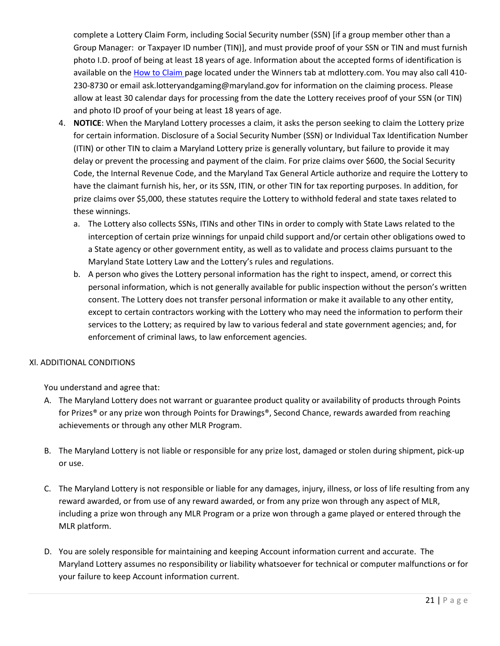complete a Lottery Claim Form, including Social Security number (SSN) [if a group member other than a Group Manager: or Taxpayer ID number (TIN)], and must provide proof of your SSN or TIN and must furnish photo I.D. proof of being at least 18 years of age. Information about the accepted forms of identification is available on th[e How to Claim p](http://www.mdlottery.com/winners/how-to-claim/)age located under the Winners tab at mdlottery.com. You may also call 410- 230-8730 or email ask.lotteryandgaming@maryland.gov for information on the claiming process. Please allow at least 30 calendar days for processing from the date the Lottery receives proof of your SSN (or TIN) and photo ID proof of your being at least 18 years of age.

- 4. **NOTICE**: When the Maryland Lottery processes a claim, it asks the person seeking to claim the Lottery prize for certain information. Disclosure of a Social Security Number (SSN) or Individual Tax Identification Number (ITIN) or other TIN to claim a Maryland Lottery prize is generally voluntary, but failure to provide it may delay or prevent the processing and payment of the claim. For prize claims over \$600, the Social Security Code, the Internal Revenue Code, and the Maryland Tax General Article authorize and require the Lottery to have the claimant furnish his, her, or its SSN, ITIN, or other TIN for tax reporting purposes. In addition, for prize claims over \$5,000, these statutes require the Lottery to withhold federal and state taxes related to these winnings.
	- a. The Lottery also collects SSNs, ITINs and other TINs in order to comply with State Laws related to the interception of certain prize winnings for unpaid child support and/or certain other obligations owed to a State agency or other government entity, as well as to validate and process claims pursuant to the Maryland State Lottery Law and the Lottery's rules and regulations.
	- b. A person who gives the Lottery personal information has the right to inspect, amend, or correct this personal information, which is not generally available for public inspection without the person's written consent. The Lottery does not transfer personal information or make it available to any other entity, except to certain contractors working with the Lottery who may need the information to perform their services to the Lottery; as required by law to various federal and state government agencies; and, for enforcement of criminal laws, to law enforcement agencies.

## Xl. ADDITIONAL CONDITIONS

You understand and agree that:

- A. The Maryland Lottery does not warrant or guarantee product quality or availability of products through Points for Prizes® or any prize won through Points for Drawings®, Second Chance, rewards awarded from reaching achievements or through any other MLR Program.
- B. The Maryland Lottery is not liable or responsible for any prize lost, damaged or stolen during shipment, pick-up or use.
- C. The Maryland Lottery is not responsible or liable for any damages, injury, illness, or loss of life resulting from any reward awarded, or from use of any reward awarded, or from any prize won through any aspect of MLR, including a prize won through any MLR Program or a prize won through a game played or entered through the MLR platform.
- D. You are solely responsible for maintaining and keeping Account information current and accurate. The Maryland Lottery assumes no responsibility or liability whatsoever for technical or computer malfunctions or for your failure to keep Account information current.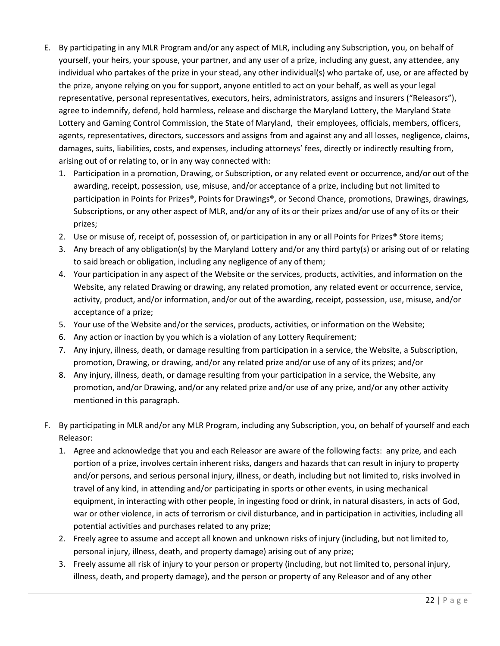- E. By participating in any MLR Program and/or any aspect of MLR, including any Subscription, you, on behalf of yourself, your heirs, your spouse, your partner, and any user of a prize, including any guest, any attendee, any individual who partakes of the prize in your stead, any other individual(s) who partake of, use, or are affected by the prize, anyone relying on you for support, anyone entitled to act on your behalf, as well as your legal representative, personal representatives, executors, heirs, administrators, assigns and insurers ("Releasors"), agree to indemnify, defend, hold harmless, release and discharge the Maryland Lottery, the Maryland State Lottery and Gaming Control Commission, the State of Maryland, their employees, officials, members, officers, agents, representatives, directors, successors and assigns from and against any and all losses, negligence, claims, damages, suits, liabilities, costs, and expenses, including attorneys' fees, directly or indirectly resulting from, arising out of or relating to, or in any way connected with:
	- 1. Participation in a promotion, Drawing, or Subscription, or any related event or occurrence, and/or out of the awarding, receipt, possession, use, misuse, and/or acceptance of a prize, including but not limited to participation in Points for Prizes®, Points for Drawings®, or Second Chance, promotions, Drawings, drawings, Subscriptions, or any other aspect of MLR, and/or any of its or their prizes and/or use of any of its or their prizes;
	- 2. Use or misuse of, receipt of, possession of, or participation in any or all Points for Prizes<sup>®</sup> Store items;
	- 3. Any breach of any obligation(s) by the Maryland Lottery and/or any third party(s) or arising out of or relating to said breach or obligation, including any negligence of any of them;
	- 4. Your participation in any aspect of the Website or the services, products, activities, and information on the Website, any related Drawing or drawing, any related promotion, any related event or occurrence, service, activity, product, and/or information, and/or out of the awarding, receipt, possession, use, misuse, and/or acceptance of a prize;
	- 5. Your use of the Website and/or the services, products, activities, or information on the Website;
	- 6. Any action or inaction by you which is a violation of any Lottery Requirement;
	- 7. Any injury, illness, death, or damage resulting from participation in a service, the Website, a Subscription, promotion, Drawing, or drawing, and/or any related prize and/or use of any of its prizes; and/or
	- 8. Any injury, illness, death, or damage resulting from your participation in a service, the Website, any promotion, and/or Drawing, and/or any related prize and/or use of any prize, and/or any other activity mentioned in this paragraph.
- F. By participating in MLR and/or any MLR Program, including any Subscription, you, on behalf of yourself and each Releasor:
	- 1. Agree and acknowledge that you and each Releasor are aware of the following facts: any prize, and each portion of a prize, involves certain inherent risks, dangers and hazards that can result in injury to property and/or persons, and serious personal injury, illness, or death, including but not limited to, risks involved in travel of any kind, in attending and/or participating in sports or other events, in using mechanical equipment, in interacting with other people, in ingesting food or drink, in natural disasters, in acts of God, war or other violence, in acts of terrorism or civil disturbance, and in participation in activities, including all potential activities and purchases related to any prize;
	- 2. Freely agree to assume and accept all known and unknown risks of injury (including, but not limited to, personal injury, illness, death, and property damage) arising out of any prize;
	- 3. Freely assume all risk of injury to your person or property (including, but not limited to, personal injury, illness, death, and property damage), and the person or property of any Releasor and of any other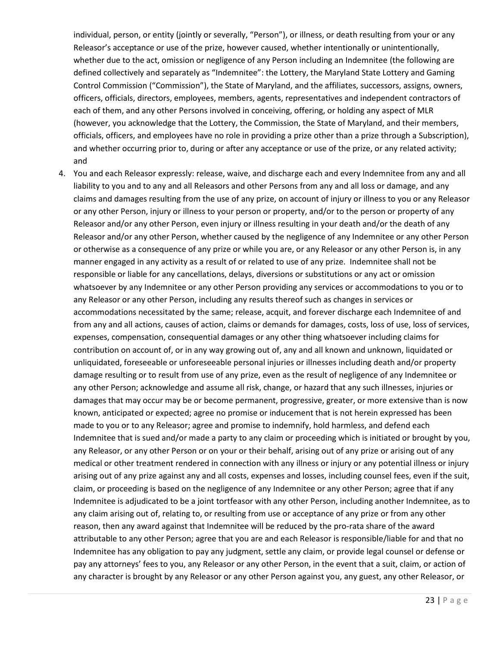individual, person, or entity (jointly or severally, "Person"), or illness, or death resulting from your or any Releasor's acceptance or use of the prize, however caused, whether intentionally or unintentionally, whether due to the act, omission or negligence of any Person including an Indemnitee (the following are defined collectively and separately as "Indemnitee": the Lottery, the Maryland State Lottery and Gaming Control Commission ("Commission"), the State of Maryland, and the affiliates, successors, assigns, owners, officers, officials, directors, employees, members, agents, representatives and independent contractors of each of them, and any other Persons involved in conceiving, offering, or holding any aspect of MLR (however, you acknowledge that the Lottery, the Commission, the State of Maryland, and their members, officials, officers, and employees have no role in providing a prize other than a prize through a Subscription), and whether occurring prior to, during or after any acceptance or use of the prize, or any related activity; and

4. You and each Releasor expressly: release, waive, and discharge each and every Indemnitee from any and all liability to you and to any and all Releasors and other Persons from any and all loss or damage, and any claims and damages resulting from the use of any prize, on account of injury or illness to you or any Releasor or any other Person, injury or illness to your person or property, and/or to the person or property of any Releasor and/or any other Person, even injury or illness resulting in your death and/or the death of any Releasor and/or any other Person, whether caused by the negligence of any Indemnitee or any other Person or otherwise as a consequence of any prize or while you are, or any Releasor or any other Person is, in any manner engaged in any activity as a result of or related to use of any prize. Indemnitee shall not be responsible or liable for any cancellations, delays, diversions or substitutions or any act or omission whatsoever by any Indemnitee or any other Person providing any services or accommodations to you or to any Releasor or any other Person, including any results thereof such as changes in services or accommodations necessitated by the same; release, acquit, and forever discharge each Indemnitee of and from any and all actions, causes of action, claims or demands for damages, costs, loss of use, loss of services, expenses, compensation, consequential damages or any other thing whatsoever including claims for contribution on account of, or in any way growing out of, any and all known and unknown, liquidated or unliquidated, foreseeable or unforeseeable personal injuries or illnesses including death and/or property damage resulting or to result from use of any prize, even as the result of negligence of any Indemnitee or any other Person; acknowledge and assume all risk, change, or hazard that any such illnesses, injuries or damages that may occur may be or become permanent, progressive, greater, or more extensive than is now known, anticipated or expected; agree no promise or inducement that is not herein expressed has been made to you or to any Releasor; agree and promise to indemnify, hold harmless, and defend each Indemnitee that is sued and/or made a party to any claim or proceeding which is initiated or brought by you, any Releasor, or any other Person or on your or their behalf, arising out of any prize or arising out of any medical or other treatment rendered in connection with any illness or injury or any potential illness or injury arising out of any prize against any and all costs, expenses and losses, including counsel fees, even if the suit, claim, or proceeding is based on the negligence of any Indemnitee or any other Person; agree that if any Indemnitee is adjudicated to be a joint tortfeasor with any other Person, including another Indemnitee, as to any claim arising out of, relating to, or resulting from use or acceptance of any prize or from any other reason, then any award against that Indemnitee will be reduced by the pro-rata share of the award attributable to any other Person; agree that you are and each Releasor is responsible/liable for and that no Indemnitee has any obligation to pay any judgment, settle any claim, or provide legal counsel or defense or pay any attorneys' fees to you, any Releasor or any other Person, in the event that a suit, claim, or action of any character is brought by any Releasor or any other Person against you, any guest, any other Releasor, or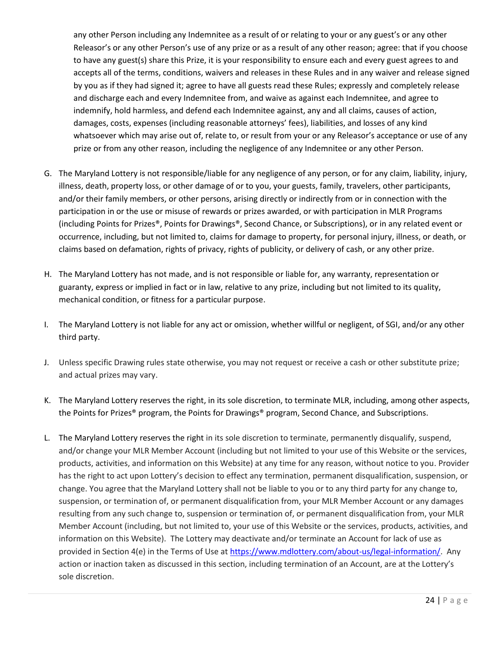any other Person including any Indemnitee as a result of or relating to your or any guest's or any other Releasor's or any other Person's use of any prize or as a result of any other reason; agree: that if you choose to have any guest(s) share this Prize, it is your responsibility to ensure each and every guest agrees to and accepts all of the terms, conditions, waivers and releases in these Rules and in any waiver and release signed by you as if they had signed it; agree to have all guests read these Rules; expressly and completely release and discharge each and every Indemnitee from, and waive as against each Indemnitee, and agree to indemnify, hold harmless, and defend each Indemnitee against, any and all claims, causes of action, damages, costs, expenses (including reasonable attorneys' fees), liabilities, and losses of any kind whatsoever which may arise out of, relate to, or result from your or any Releasor's acceptance or use of any prize or from any other reason, including the negligence of any Indemnitee or any other Person.

- G. The Maryland Lottery is not responsible/liable for any negligence of any person, or for any claim, liability, injury, illness, death, property loss, or other damage of or to you, your guests, family, travelers, other participants, and/or their family members, or other persons, arising directly or indirectly from or in connection with the participation in or the use or misuse of rewards or prizes awarded, or with participation in MLR Programs (including Points for Prizes®, Points for Drawings®, Second Chance, or Subscriptions), or in any related event or occurrence, including, but not limited to, claims for damage to property, for personal injury, illness, or death, or claims based on defamation, rights of privacy, rights of publicity, or delivery of cash, or any other prize.
- H. The Maryland Lottery has not made, and is not responsible or liable for, any warranty, representation or guaranty, express or implied in fact or in law, relative to any prize, including but not limited to its quality, mechanical condition, or fitness for a particular purpose.
- I. The Maryland Lottery is not liable for any act or omission, whether willful or negligent, of SGI, and/or any other third party.
- J. Unless specific Drawing rules state otherwise, you may not request or receive a cash or other substitute prize; and actual prizes may vary.
- K. The Maryland Lottery reserves the right, in its sole discretion, to terminate MLR, including, among other aspects, the Points for Prizes® program, the Points for Drawings® program, Second Chance, and Subscriptions.
- L. The Maryland Lottery reserves the right in its sole discretion to terminate, permanently disqualify, suspend, and/or change your MLR Member Account (including but not limited to your use of this Website or the services, products, activities, and information on this Website) at any time for any reason, without notice to you. Provider has the right to act upon Lottery's decision to effect any termination, permanent disqualification, suspension, or change. You agree that the Maryland Lottery shall not be liable to you or to any third party for any change to, suspension, or termination of, or permanent disqualification from, your MLR Member Account or any damages resulting from any such change to, suspension or termination of, or permanent disqualification from, your MLR Member Account (including, but not limited to, your use of this Website or the services, products, activities, and information on this Website). The Lottery may deactivate and/or terminate an Account for lack of use as provided in Section 4(e) in the Terms of Use a[t https://www.mdlottery.com/about-us/legal-information/.](https://www.mdlottery.com/about-us/legal-information/) Any action or inaction taken as discussed in this section, including termination of an Account, are at the Lottery's sole discretion.